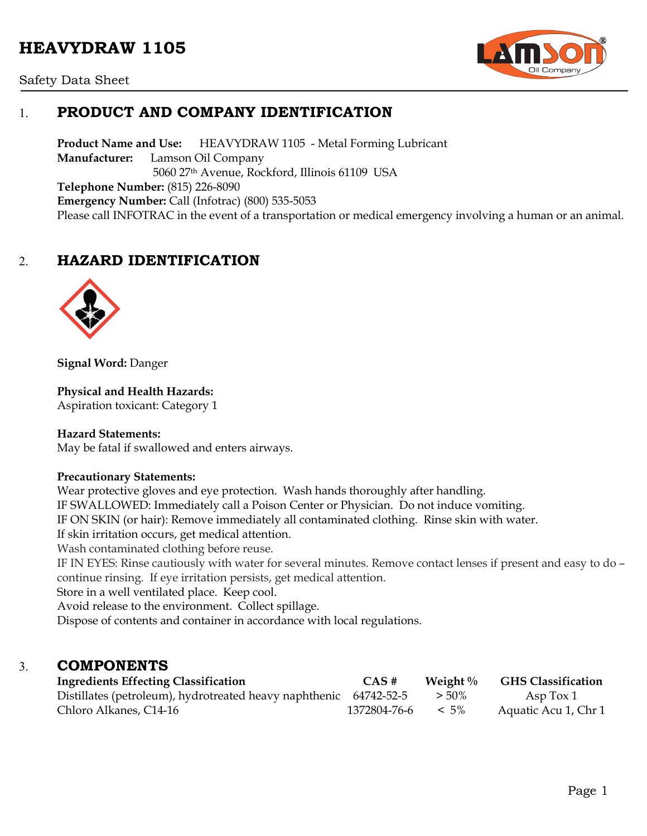# **HEAVYDRAW 1105**



Safety Data Sheet

# 1. **PRODUCT AND COMPANY IDENTIFICATION**

**Product Name and Use:** HEAVYDRAW 1105 - Metal Forming Lubricant **Manufacturer:** Lamson Oil Company 5060 27th Avenue, Rockford, Illinois 61109 USA **Telephone Number:** (815) 226-8090 **Emergency Number:** Call (Infotrac) (800) 535-5053 Please call INFOTRAC in the event of a transportation or medical emergency involving a human or an animal.

# 2. **HAZARD IDENTIFICATION**



**Signal Word:** Danger

#### **Physical and Health Hazards:**

Aspiration toxicant: Category 1

#### **Hazard Statements:**

May be fatal if swallowed and enters airways.

#### **Precautionary Statements:**

Wear protective gloves and eye protection. Wash hands thoroughly after handling. IF SWALLOWED: Immediately call a Poison Center or Physician. Do not induce vomiting. IF ON SKIN (or hair): Remove immediately all contaminated clothing. Rinse skin with water. If skin irritation occurs, get medical attention. Wash contaminated clothing before reuse. IF IN EYES: Rinse cautiously with water for several minutes. Remove contact lenses if present and easy to do – continue rinsing. If eye irritation persists, get medical attention. Store in a well ventilated place. Keep cool. Avoid release to the environment. Collect spillage. Dispose of contents and container in accordance with local regulations.

### 3. **COMPONENTS**

| <b>Ingredients Effecting Classification</b>                       | CAS#         | Weight $\%$ | <b>GHS Classification</b> |
|-------------------------------------------------------------------|--------------|-------------|---------------------------|
| Distillates (petroleum), hydrotreated heavy naphthenic 64742-52-5 |              | $> 50\%$    | Asp $\text{Tox } 1$       |
| Chloro Alkanes, C14-16                                            | 1372804-76-6 | $< 5\%$     | Aquatic Acu 1, Chr 1      |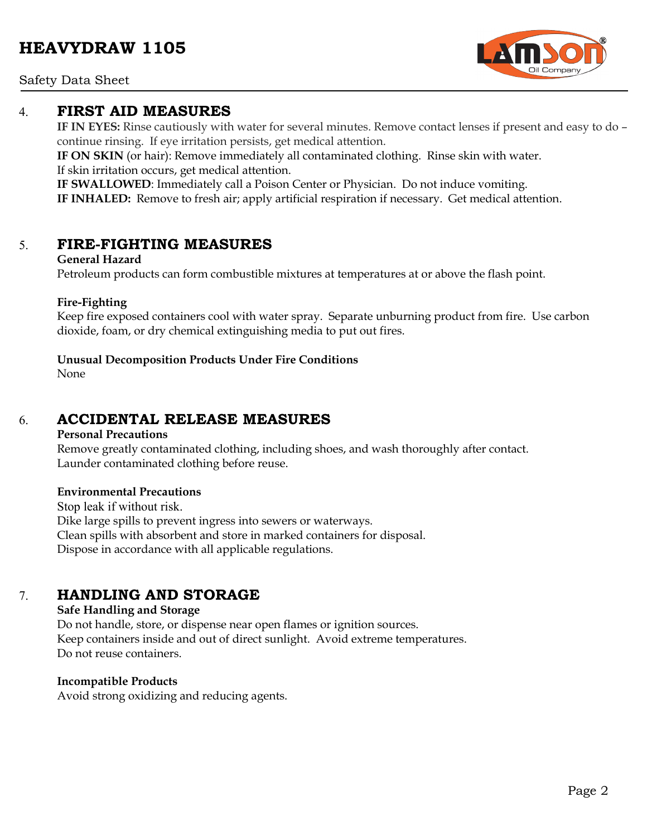#### Safety Data Sheet

### 4. **FIRST AID MEASURES**

**IF IN EYES:** Rinse cautiously with water for several minutes. Remove contact lenses if present and easy to do – continue rinsing. If eye irritation persists, get medical attention.

**IF ON SKIN** (or hair): Remove immediately all contaminated clothing. Rinse skin with water. If skin irritation occurs, get medical attention.

**IF SWALLOWED**: Immediately call a Poison Center or Physician. Do not induce vomiting. **IF INHALED:** Remove to fresh air; apply artificial respiration if necessary. Get medical attention.

### 5. **FIRE-FIGHTING MEASURES**

#### **General Hazard**

Petroleum products can form combustible mixtures at temperatures at or above the flash point.

#### **Fire-Fighting**

Keep fire exposed containers cool with water spray. Separate unburning product from fire. Use carbon dioxide, foam, or dry chemical extinguishing media to put out fires.

#### **Unusual Decomposition Products Under Fire Conditions**

None

# 6. **ACCIDENTAL RELEASE MEASURES**

#### **Personal Precautions**

Remove greatly contaminated clothing, including shoes, and wash thoroughly after contact. Launder contaminated clothing before reuse.

#### **Environmental Precautions**

Stop leak if without risk. Dike large spills to prevent ingress into sewers or waterways. Clean spills with absorbent and store in marked containers for disposal. Dispose in accordance with all applicable regulations.

### 7. **HANDLING AND STORAGE**

#### **Safe Handling and Storage**

Do not handle, store, or dispense near open flames or ignition sources. Keep containers inside and out of direct sunlight. Avoid extreme temperatures. Do not reuse containers.

#### **Incompatible Products**

Avoid strong oxidizing and reducing agents.

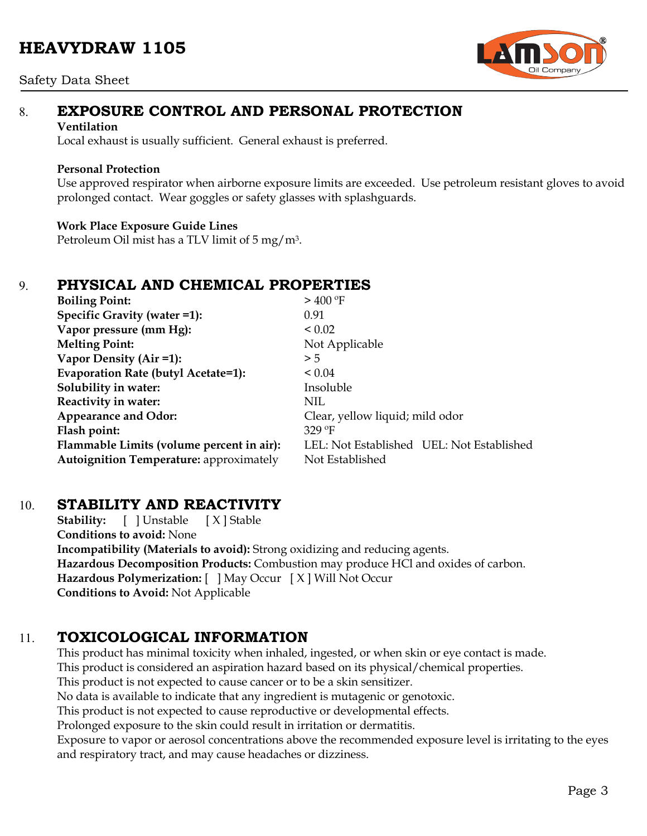# **HEAVYDRAW 1105**

#### Safety Data Sheet



# 8. **EXPOSURE CONTROL AND PERSONAL PROTECTION**

#### **Ventilation**

Local exhaust is usually sufficient. General exhaust is preferred.

#### **Personal Protection**

Use approved respirator when airborne exposure limits are exceeded. Use petroleum resistant gloves to avoid prolonged contact. Wear goggles or safety glasses with splashguards.

#### **Work Place Exposure Guide Lines**

Petroleum Oil mist has a TLV limit of 5 mg/m3.

# 9. **PHYSICAL AND CHEMICAL PROPERTIES**

| <b>Boiling Point:</b>                          | $>$ 400 °F                                |  |  |
|------------------------------------------------|-------------------------------------------|--|--|
| Specific Gravity (water =1):                   | 0.91                                      |  |  |
| Vapor pressure (mm Hg):                        | ${}_{0.02}$                               |  |  |
| <b>Melting Point:</b>                          | Not Applicable                            |  |  |
| Vapor Density (Air =1):                        | > 5                                       |  |  |
| Evaporation Rate (butyl Acetate=1):            | ${}_{0.04}$                               |  |  |
| Solubility in water:                           | Insoluble                                 |  |  |
| Reactivity in water:                           | <b>NIL</b>                                |  |  |
| <b>Appearance and Odor:</b>                    | Clear, yellow liquid; mild odor           |  |  |
| Flash point:                                   | $329$ °F                                  |  |  |
| Flammable Limits (volume percent in air):      | LEL: Not Established UEL: Not Established |  |  |
| <b>Autoignition Temperature:</b> approximately | Not Established                           |  |  |

# 10. **STABILITY AND REACTIVITY**

**Stability:** [ ] Unstable [ X ] Stable **Conditions to avoid:** None **Incompatibility (Materials to avoid):** Strong oxidizing and reducing agents. **Hazardous Decomposition Products:** Combustion may produce HCl and oxides of carbon. **Hazardous Polymerization:** [ ] May Occur [ X ] Will Not Occur **Conditions to Avoid:** Not Applicable

# 11. **TOXICOLOGICAL INFORMATION**

This product has minimal toxicity when inhaled, ingested, or when skin or eye contact is made. This product is considered an aspiration hazard based on its physical/chemical properties. This product is not expected to cause cancer or to be a skin sensitizer. No data is available to indicate that any ingredient is mutagenic or genotoxic. This product is not expected to cause reproductive or developmental effects. Prolonged exposure to the skin could result in irritation or dermatitis. Exposure to vapor or aerosol concentrations above the recommended exposure level is irritating to the eyes and respiratory tract, and may cause headaches or dizziness.